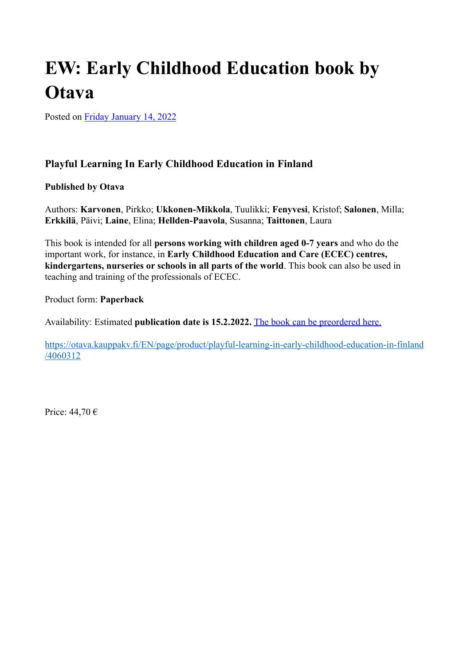# **EW: Early Childhood Education book by Otava**

Posted on [Friday January 14, 2022](https://experienceworkshop.org/2022/01/14/?lang=en)

### **Playful Learning In Early Childhood Education in Finland**

**Published by Otava**

Authors: **Karvonen**, Pirkko; **Ukkonen-Mikkola**, Tuulikki; **Fenyvesi**, Kristof; **Salonen**, Milla; **Erkkilä**, Päivi; **Laine**, Elina; **Hellden-Paavola**, Susanna; **Taittonen**, Laura

This book is intended for all **persons working with children aged 0-7 years** and who do the important work, for instance, in **Early Childhood Education and Care (ECEC) centres, kindergartens, nurseries or schools in all parts of the world**. This book can also be used in teaching and training of the professionals of ECEC.

Product form: **Paperback**

Availability: Estimated **publication date is 15.2.2022.** [The book can be preordered here.](https://otava.kauppakv.fi/EN/page/product/playful-learning-in-early-childhood-education-in-finland/4060312)

[https://otava.kauppakv.fi/EN/page/product/playful-learning-in-early-childhood-education-in-finland](https://otava.kauppakv.fi/EN/page/product/playful-learning-in-early-childhood-education-in-finland/4060312) [/4060312](https://otava.kauppakv.fi/EN/page/product/playful-learning-in-early-childhood-education-in-finland/4060312)

Price: 44,70 €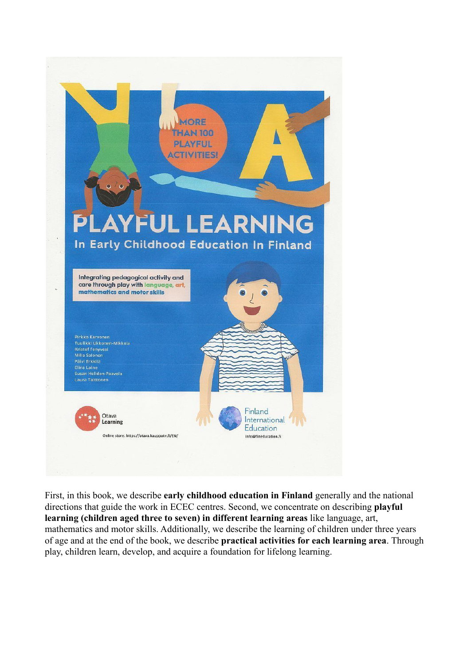

First, in this book, we describe **early childhood education in Finland** generally and the national directions that guide the work in ECEC centres. Second, we concentrate on describing **playful learning (children aged three to seven) in different learning areas** like language, art, mathematics and motor skills. Additionally, we describe the learning of children under three years of age and at the end of the book, we describe **practical activities for each learning area**. Through play, children learn, develop, and acquire a foundation for lifelong learning.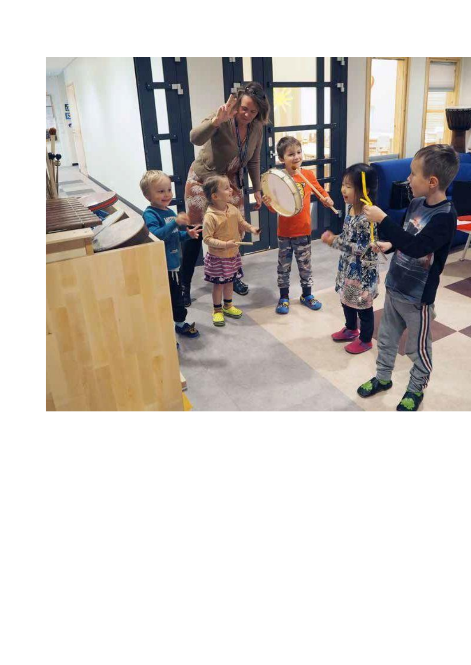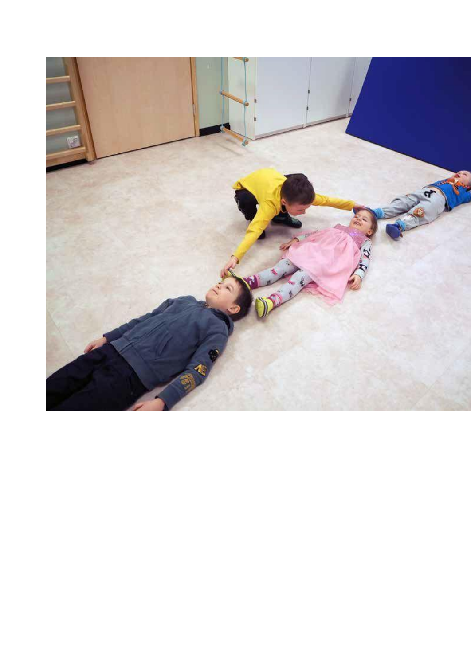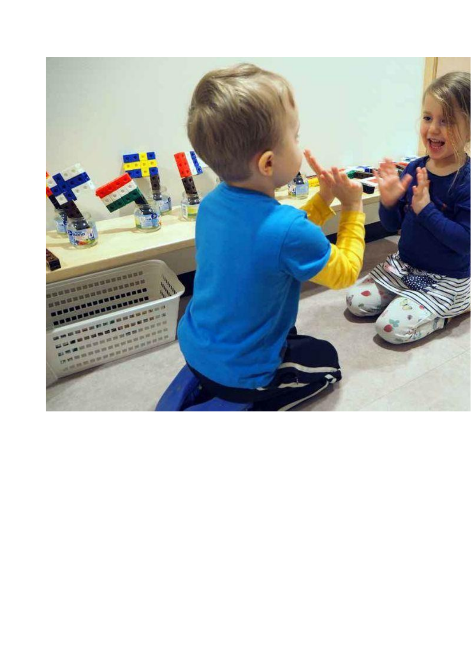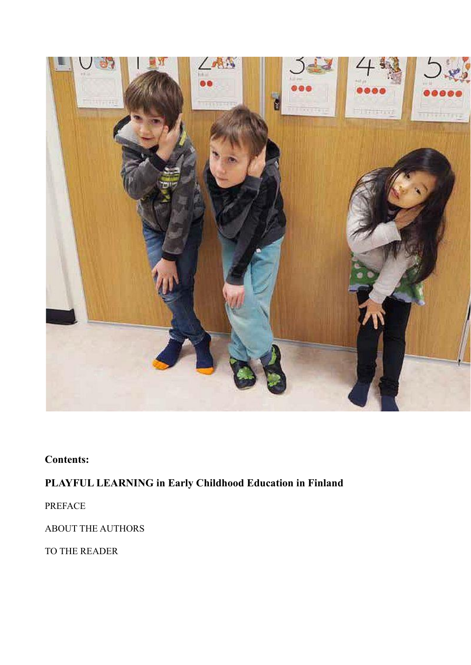

### **Contents:**

## **PLAYFUL LEARNING in Early Childhood Education in Finland**

PREFACE

ABOUT THE AUTHORS

TO THE READER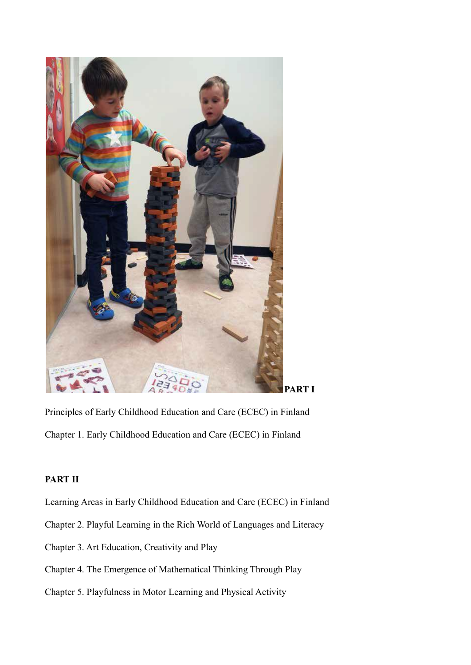

Principles of Early Childhood Education and Care (ECEC) in Finland Chapter 1. Early Childhood Education and Care (ECEC) in Finland

#### **PART II**

- Learning Areas in Early Childhood Education and Care (ECEC) in Finland
- Chapter 2. Playful Learning in the Rich World of Languages and Literacy
- Chapter 3. Art Education, Creativity and Play
- Chapter 4. The Emergence of Mathematical Thinking Through Play
- Chapter 5. Playfulness in Motor Learning and Physical Activity